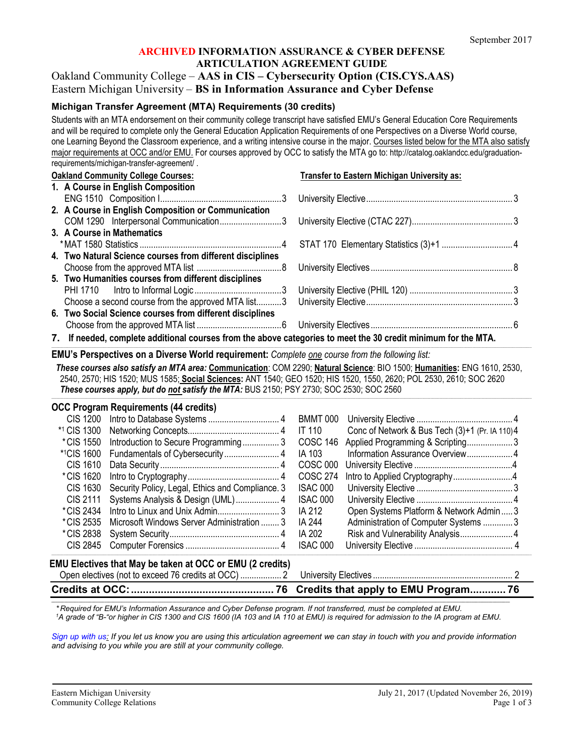#### **ARCHIVED INFORMATION ASSURANCE & CYBER DEFENSE ARTICULATION AGREEMENT GUIDE**

# Oakland Community College – **AAS in CIS – Cybersecurity Option (CIS.CYS.AAS)** Eastern Michigan University – **BS in Information Assurance and Cyber Defense**

#### **Michigan Transfer Agreement (MTA) Requirements (30 credits)**

Students with an MTA endorsement on their community college transcript have satisfied EMU's General Education Core Requirements and will be required to complete only the General Education Application Requirements of one Perspectives on a Diverse World course, one Learning Beyond the Classroom experience, and a writing intensive course in the major. Courses listed below for the MTA also satisfy major requirements at OCC and/or EMU. For courses approved by OCC to satisfy the MTA go to: http://catalog.oaklandcc.edu/graduationrequirements/michigan-transfer-agreement/ .

| <b>Oakland Community College Courses:</b>                                                                      | Transfer to Eastern Michigan University as: |
|----------------------------------------------------------------------------------------------------------------|---------------------------------------------|
| 1. A Course in English Composition                                                                             |                                             |
|                                                                                                                |                                             |
| 2. A Course in English Composition or Communication                                                            |                                             |
|                                                                                                                |                                             |
| 3. A Course in Mathematics                                                                                     |                                             |
|                                                                                                                |                                             |
| 4. Two Natural Science courses from different disciplines                                                      |                                             |
|                                                                                                                |                                             |
| 5. Two Humanities courses from different disciplines                                                           |                                             |
|                                                                                                                |                                             |
|                                                                                                                |                                             |
| 6. Two Social Science courses from different disciplines                                                       |                                             |
|                                                                                                                |                                             |
| 7. If needed, complete additional courses from the above categories to meet the 30 credit minimum for the MTA. |                                             |

#### ,我们也不能在这里的,我们也不能在这里的时候,我们也不能在这里的时候,我们也不能会在这里,我们也不能会在这里,我们也不能会在这里的时候,我们也不能会在这里,我们也 **EMU's Perspectives on a Diverse World requirement:** *Complete one course from the following list:*

*These courses also satisfy an MTA area:* **Communication**: COM 2290; **Natural Science**: BIO 1500; **Humanities:** ENG 1610, 2530, 2540, 2570; HIS 1520; MUS 1585; **Social Sciences:** ANT 1540; GEO 1520; HIS 1520, 1550, 2620; POL 2530, 2610; SOC 2620 *These courses apply, but do not satisfy the MTA:* BUS 2150; PSY 2730; SOC 2530; SOC 2560 ,我们也不能在这里的,我们也不能在这里的时候,我们也不能在这里的时候,我们也不能会在这里,我们也不能会在这里,我们也不能会在这里的时候,我们也不能会在这里,我们也

|                   | <b>OCC Program Requirements (44 credits)</b>              |                 |                                                |
|-------------------|-----------------------------------------------------------|-----------------|------------------------------------------------|
|                   |                                                           | <b>BMMT 000</b> |                                                |
| *1 CIS 1300       |                                                           | IT 110          | Conc of Network & Bus Tech (3)+1 (Pr. IA 110)4 |
| *CIS 1550         | Introduction to Secure Programming3                       | <b>COSC 146</b> | Applied Programming & Scripting3               |
| <b>*1CIS 1600</b> |                                                           | IA 103          |                                                |
| <b>CIS 1610</b>   |                                                           | <b>COSC 000</b> |                                                |
| *CIS 1620         |                                                           | <b>COSC 274</b> |                                                |
| CIS 1630          | Security Policy, Legal, Ethics and Compliance. 3          | ISAC 000        |                                                |
| CIS 2111          |                                                           | ISAC 000        |                                                |
| *CIS 2434         |                                                           | IA 212          | Open Systems Platform & Network Admin3         |
| *CIS 2535         | Microsoft Windows Server Administration  3                | IA 244          | Administration of Computer Systems 3           |
| *CIS 2838         |                                                           | IA 202          | Risk and Vulnerability Analysis 4              |
| CIS 2845          |                                                           | ISAC 000        |                                                |
|                   | EMU Electives that May be taken at OCC or EMU (2 credits) |                 |                                                |
|                   |                                                           |                 |                                                |
|                   |                                                           |                 |                                                |

**\_\_\_\_\_\_\_\_\_\_\_\_\_\_\_\_\_\_\_\_\_\_\_\_\_\_\_\_\_\_\_\_\_\_\_\_\_\_\_\_\_\_\_\_\_\_\_\_\_\_\_\_\_\_\_\_\_\_\_\_\_\_\_\_\_\_\_\_\_\_\_\_\_\_\_\_\_\_\_\_\_\_\_\_\_\_\_\_\_\_\_\_\_\_\_\_\_\_\_\_\_\_\_\_\_\_\_\_\_\_\_\_\_\_\_\_\_\_\_\_\_\_\_\_\_\_\_\_\_\_\_\_\_\_\_\_\_\_\_\_\_\_\_\_\_\_\_\_\_\_\_\_\_\_\_\_\_\_\_\_\_\_\_\_\_\_\_\_\_\_\_\_\_\_\_\_\_\_\_\_\_\_\_\_\_\_\_\_\_\_\_\_\_\_\_\_\_\_\_\_\_\_\_\_\_\_\_\_\_\_\_\_\_\_\_\_** *\* Required for EMU's Information Assurance and Cyber Defense program. If not transferred, must be completed at EMU. 1 A grade of "B-"or higher in CIS 1300 and CIS 1600 (IA 103 and IA 110 at EMU) is required for admission to the IA program at EMU.*

*[Sign up with us:](https://www.emich.edu/ccr/articulation-agreements/signup.php) If you let us know you are using this articulation agreement we can stay in touch with you and provide information and advising to you while you are still at your community college.*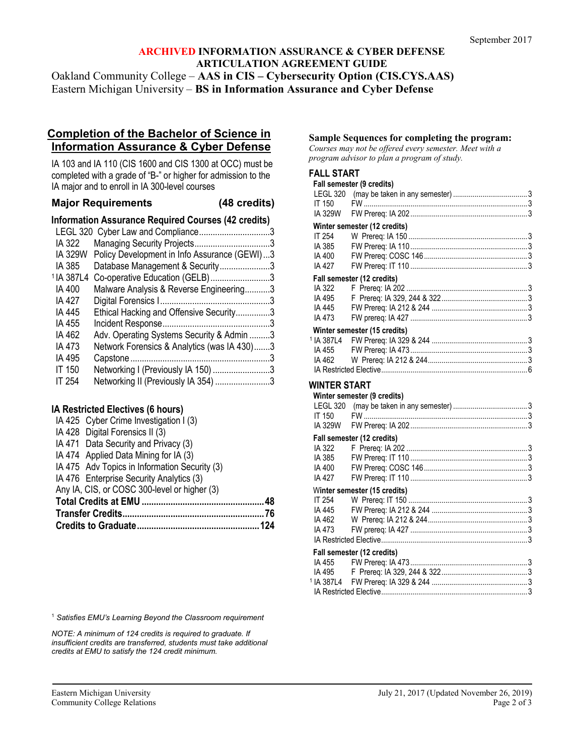# **ARCHIVED INFORMATION ASSURANCE & CYBER DEFENSE ARTICULATION AGREEMENT GUIDE**

Oakland Community College – **AAS in CIS – Cybersecurity Option (CIS.CYS.AAS)** Eastern Michigan University – **BS in Information Assurance and Cyber Defense**

# **Completion of the Bachelor of Science in Information Assurance & Cyber Defense**

IA 103 and IA 110 (CIS 1600 and CIS 1300 at OCC) must be completed with a grade of "B-" or higher for admission to the IA major and to enroll in IA 300-level courses

### **Major Requirements (48 credits)**

**Information Assurance Required Courses (42 credits)**

|                       | LEGL 320 Cyber Law and Compliance3           |  |
|-----------------------|----------------------------------------------|--|
| IA 322                |                                              |  |
| IA 329W               | Policy Development in Info Assurance (GEWI)3 |  |
| IA 385                | Database Management & Security3              |  |
| <sup>1</sup> IA 387L4 | Co-operative Education (GELB)3               |  |
| IA 400                | Malware Analysis & Reverse Engineering3      |  |
| IA 427                |                                              |  |
| IA 445                | Ethical Hacking and Offensive Security3      |  |
| IA 455                |                                              |  |
| IA 462                | Adv. Operating Systems Security & Admin 3    |  |
| IA 473                | Network Forensics & Analytics (was IA 430)3  |  |
| IA 495                |                                              |  |
| <b>IT 150</b>         | Networking I (Previously IA 150) 3           |  |
| IT 254                | Networking II (Previously IA 354) 3          |  |
|                       |                                              |  |

### **IA Restricted Electives (6 hours)**

|  | IA 425 Cyber Crime Investigation I (3)        |     |
|--|-----------------------------------------------|-----|
|  | IA 428 Digital Forensics II (3)               |     |
|  | IA 471 Data Security and Privacy (3)          |     |
|  | IA 474 Applied Data Mining for IA (3)         |     |
|  | IA 475 Adv Topics in Information Security (3) |     |
|  | IA 476 Enterprise Security Analytics (3)      |     |
|  | Any IA, CIS, or COSC 300-level or higher (3)  |     |
|  |                                               | .48 |
|  |                                               |     |
|  |                                               |     |
|  |                                               |     |

<sup>1</sup> *Satisfies EMU's Learning Beyond the Classroom requirement*

*NOTE: A minimum of 124 credits is required to graduate. If insufficient credits are transferred, students must take additional credits at EMU to satisfy the 124 credit minimum.*

#### **Sample Sequences for completing the program:**

*Courses may not be offered every semester. Meet with a program advisor to plan a program of study.*

#### **FALL START**

|                       | Fall semester (9 credits)    |  |
|-----------------------|------------------------------|--|
|                       |                              |  |
| IT 150                |                              |  |
| <b>IA 329W</b>        |                              |  |
|                       | Winter semester (12 credits) |  |
| IT 254                |                              |  |
| IA 385                |                              |  |
| IA 400                |                              |  |
| IA 427                |                              |  |
|                       | Fall semester (12 credits)   |  |
| IA 322                |                              |  |
| IA 495                |                              |  |
| IA 445                |                              |  |
| IA 473                |                              |  |
|                       | Winter semester (15 credits) |  |
| <sup>1</sup> IA 387L4 |                              |  |
| IA 455                |                              |  |
| IA 462                |                              |  |
|                       |                              |  |
| WINTER START          |                              |  |
|                       | Winter semester (9 credits)  |  |
|                       |                              |  |
| IT 150                |                              |  |
| IA 329W               |                              |  |
|                       |                              |  |
| IA 322                | Fall semester (12 credits)   |  |
|                       |                              |  |
| IA 385                |                              |  |
| IA 400                |                              |  |

#### IA 427 FW Prereq: IT 110 ............................................................3 W**inter semester (15 credits)**

|  | Fall semester (12 credits) |  |
|--|----------------------------|--|